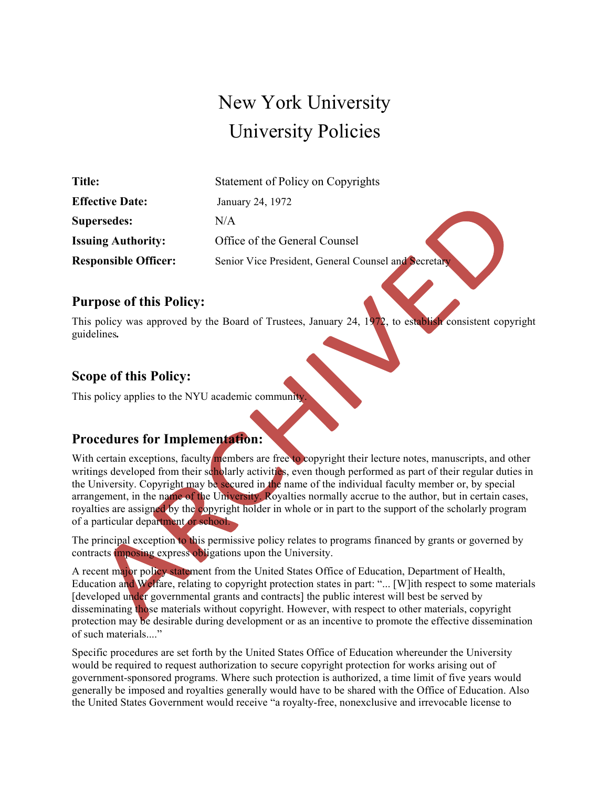# New York University University Policies

| Title:                      | Statement of Policy on Copyrights                    |
|-----------------------------|------------------------------------------------------|
| <b>Effective Date:</b>      | January 24, 1972                                     |
| Supersedes:                 | N/A                                                  |
| <b>Issuing Authority:</b>   | Office of the General Counsel                        |
| <b>Responsible Officer:</b> | Senior Vice President, General Counsel and Secretary |

#### **Purpose of this Policy:**

This policy was approved by the Board of Trustees, January 24, 1972, to establish consistent copyright guidelines*.*

## **Scope of this Policy:**

This policy applies to the NYU academic community.

### **Procedures for Implementation:**

With certain exceptions, faculty members are free to copyright their lecture notes, manuscripts, and other writings developed from their scholarly activities, even though performed as part of their regular duties in the University. Copyright may be secured in the name of the individual faculty member or, by special arrangement, in the name of the University. Royalties normally accrue to the author, but in certain cases, royalties are assigned by the copyright holder in whole or in part to the support of the scholarly program of a particular department or school.

The principal exception to this permissive policy relates to programs financed by grants or governed by contracts imposing express obligations upon the University.

A recent major policy statement from the United States Office of Education, Department of Health, Education and Welfare, relating to copyright protection states in part: "... [W]ith respect to some materials [developed under governmental grants and contracts] the public interest will best be served by disseminating those materials without copyright. However, with respect to other materials, copyright protection may be desirable during development or as an incentive to promote the effective dissemination of such materials...."

Specific procedures are set forth by the United States Office of Education whereunder the University would be required to request authorization to secure copyright protection for works arising out of government-sponsored programs. Where such protection is authorized, a time limit of five years would generally be imposed and royalties generally would have to be shared with the Office of Education. Also the United States Government would receive "a royalty-free, nonexclusive and irrevocable license to